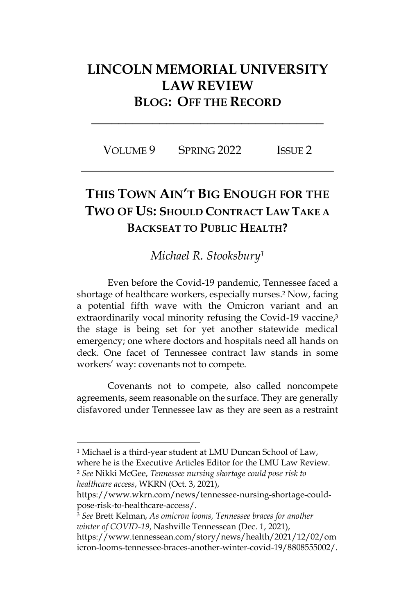## **LINCOLN MEMORIAL UNIVERSITY LAW REVIEW BLOG: OFF THE RECORD**

**\_\_\_\_\_\_\_\_\_\_\_\_\_\_\_\_\_\_\_\_\_\_\_\_\_\_\_\_\_\_\_\_\_\_**

VOLUME 9 SPRING 2022 ISSUE 2 **\_\_\_\_\_\_\_\_\_\_\_\_\_\_\_\_\_\_\_\_\_\_\_\_\_\_\_\_\_\_\_\_\_\_\_\_\_**

## **THIS TOWN AIN'T BIG ENOUGH FOR THE TWO OF US: SHOULD CONTRACT LAW TAKE A BACKSEAT TO PUBLIC HEALTH?**

## *Michael R. Stooksbury<sup>1</sup>*

Even before the Covid-19 pandemic, Tennessee faced a shortage of healthcare workers, especially nurses. <sup>2</sup> Now, facing a potential fifth wave with the Omicron variant and an extraordinarily vocal minority refusing the Covid-19 vaccine,<sup>3</sup> the stage is being set for yet another statewide medical emergency; one where doctors and hospitals need all hands on deck. One facet of Tennessee contract law stands in some workers' way: covenants not to compete.

Covenants not to compete, also called noncompete agreements, seem reasonable on the surface. They are generally disfavored under Tennessee law as they are seen as a restraint

*healthcare access*, WKRN (Oct. 3, 2021),

<sup>3</sup> *See* Brett Kelman, *As omicron looms, Tennessee braces for another winter of COVID-19*, Nashville Tennessean (Dec. 1, 2021), https://www.tennessean.com/story/news/health/2021/12/02/om

<sup>&</sup>lt;sup>1</sup> Michael is a third-year student at LMU Duncan School of Law, where he is the Executive Articles Editor for the LMU Law Review. <sup>2</sup> *See* Nikki McGee, *Tennessee nursing shortage could pose risk to* 

https://www.wkrn.com/news/tennessee-nursing-shortage-couldpose-risk-to-healthcare-access/.

icron-looms-tennessee-braces-another-winter-covid-19/8808555002/.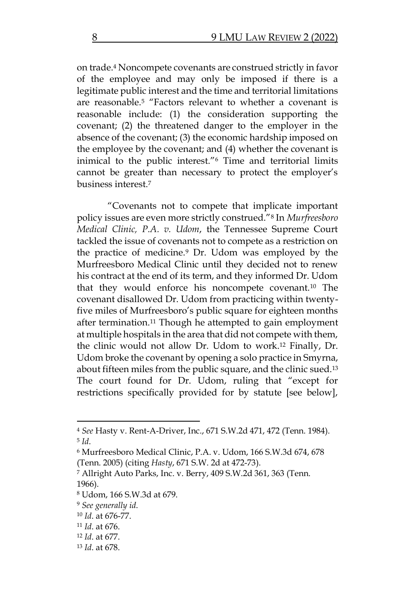on trade.<sup>4</sup> Noncompete covenants are construed strictly in favor of the employee and may only be imposed if there is a legitimate public interest and the time and territorial limitations are reasonable.<sup>5</sup> "Factors relevant to whether a covenant is reasonable include: (1) the consideration supporting the covenant; (2) the threatened danger to the employer in the absence of the covenant; (3) the economic hardship imposed on the employee by the covenant; and (4) whether the covenant is inimical to the public interest."<sup>6</sup> Time and territorial limits cannot be greater than necessary to protect the employer's business interest.<sup>7</sup>

"Covenants not to compete that implicate important policy issues are even more strictly construed."<sup>8</sup> In *Murfreesboro Medical Clinic, P.A. v. Udom*, the Tennessee Supreme Court tackled the issue of covenants not to compete as a restriction on the practice of medicine.<sup>9</sup> Dr. Udom was employed by the Murfreesboro Medical Clinic until they decided not to renew his contract at the end of its term, and they informed Dr. Udom that they would enforce his noncompete covenant.<sup>10</sup> The covenant disallowed Dr. Udom from practicing within twentyfive miles of Murfreesboro's public square for eighteen months after termination.<sup>11</sup> Though he attempted to gain employment at multiple hospitals in the area that did not compete with them, the clinic would not allow Dr. Udom to work.<sup>12</sup> Finally, Dr. Udom broke the covenant by opening a solo practice in Smyrna, about fifteen miles from the public square, and the clinic sued.<sup>13</sup> The court found for Dr. Udom, ruling that "except for restrictions specifically provided for by statute [see below],

<sup>4</sup> *See* Hasty v. Rent-A-Driver, Inc., 671 S.W.2d 471, 472 (Tenn. 1984). 5 *Id*.

<sup>6</sup> Murfreesboro Medical Clinic, P.A. v. Udom, 166 S.W.3d 674, 678 (Tenn. 2005) (citing *Hasty*, 671 S.W. 2d at 472-73).

<sup>7</sup> Allright Auto Parks, Inc. v. Berry, 409 S.W.2d 361, 363 (Tenn. 1966).

<sup>8</sup> Udom, 166 S.W.3d at 679.

<sup>9</sup> *See generally id*.

<sup>10</sup> *Id*. at 676-77.

<sup>11</sup> *Id*. at 676.

<sup>12</sup> *Id*. at 677.

<sup>13</sup> *Id*. at 678.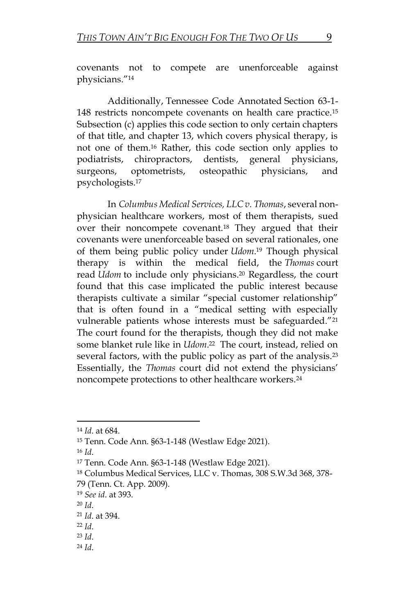covenants not to compete are unenforceable against physicians."<sup>14</sup>

Additionally, Tennessee Code Annotated Section 63-1- 148 restricts noncompete covenants on health care practice.<sup>15</sup> Subsection (c) applies this code section to only certain chapters of that title, and chapter 13, which covers physical therapy, is not one of them.<sup>16</sup> Rather, this code section only applies to podiatrists, chiropractors, dentists, general physicians, surgeons, optometrists, osteopathic physicians, and psychologists.<sup>17</sup>

In *Columbus Medical Services, LLC v. Thomas*, several nonphysician healthcare workers, most of them therapists, sued over their noncompete covenant.<sup>18</sup> They argued that their covenants were unenforceable based on several rationales, one of them being public policy under *Udom*. <sup>19</sup> Though physical therapy is within the medical field, the *Thomas* court read *Udom* to include only physicians.<sup>20</sup> Regardless, the court found that this case implicated the public interest because therapists cultivate a similar "special customer relationship" that is often found in a "medical setting with especially vulnerable patients whose interests must be safeguarded."<sup>21</sup> The court found for the therapists, though they did not make some blanket rule like in *Udom*. <sup>22</sup> The court, instead, relied on several factors, with the public policy as part of the analysis.<sup>23</sup> Essentially, the *Thomas* court did not extend the physicians' noncompete protections to other healthcare workers.<sup>24</sup>

<sup>24</sup> *Id*.

<sup>14</sup> *Id*. at 684.

<sup>15</sup> Tenn. Code Ann. §63-1-148 (Westlaw Edge 2021).

<sup>16</sup> *Id*.

<sup>17</sup> Tenn. Code Ann. §63-1-148 (Westlaw Edge 2021).

<sup>18</sup> Columbus Medical Services, LLC v. Thomas, 308 S.W.3d 368, 378- 79 (Tenn. Ct. App. 2009).

<sup>19</sup> *See id*. at 393.

<sup>20</sup> *Id*.

<sup>21</sup> *Id*. at 394.

<sup>22</sup> *Id*.

<sup>23</sup> *Id*.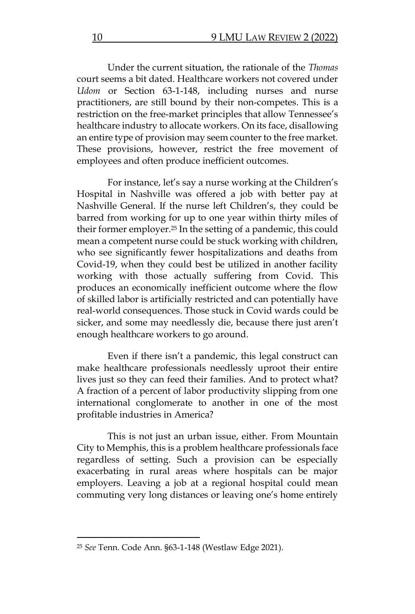Under the current situation, the rationale of the *Thomas* court seems a bit dated. Healthcare workers not covered under *Udom* or Section 63-1-148, including nurses and nurse practitioners, are still bound by their non-competes. This is a restriction on the free-market principles that allow Tennessee's healthcare industry to allocate workers. On its face, disallowing an entire type of provision may seem counter to the free market. These provisions, however, restrict the free movement of employees and often produce inefficient outcomes.

For instance, let's say a nurse working at the Children's Hospital in Nashville was offered a job with better pay at Nashville General. If the nurse left Children's, they could be barred from working for up to one year within thirty miles of their former employer.<sup>25</sup> In the setting of a pandemic, this could mean a competent nurse could be stuck working with children, who see significantly fewer hospitalizations and deaths from Covid-19, when they could best be utilized in another facility working with those actually suffering from Covid. This produces an economically inefficient outcome where the flow of skilled labor is artificially restricted and can potentially have real-world consequences. Those stuck in Covid wards could be sicker, and some may needlessly die, because there just aren't enough healthcare workers to go around.

Even if there isn't a pandemic, this legal construct can make healthcare professionals needlessly uproot their entire lives just so they can feed their families. And to protect what? A fraction of a percent of labor productivity slipping from one international conglomerate to another in one of the most profitable industries in America?

This is not just an urban issue, either. From Mountain City to Memphis, this is a problem healthcare professionals face regardless of setting. Such a provision can be especially exacerbating in rural areas where hospitals can be major employers. Leaving a job at a regional hospital could mean commuting very long distances or leaving one's home entirely

<sup>25</sup> *See* Tenn. Code Ann. §63-1-148 (Westlaw Edge 2021).